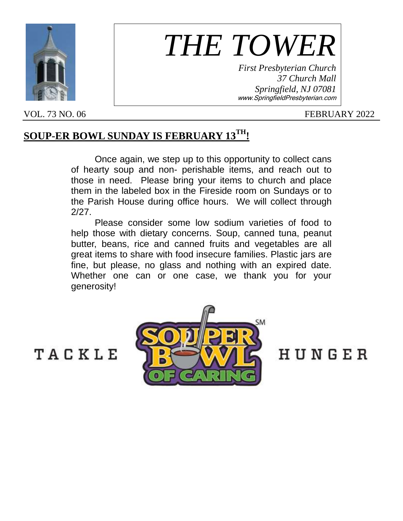

# *THE TOWER*

*First Presbyterian Church 37 Church Mall Springfield, NJ 07081* www.SpringfieldPresbyterian.com

#### VOL. 73 NO. 06 FEBRUARY 2022

### **SOUP-ER BOWL SUNDAY IS FEBRUARY 13TH!**

Once again, we step up to this opportunity to collect cans of hearty soup and non- perishable items, and reach out to those in need. Please bring your items to church and place them in the labeled box in the Fireside room on Sundays or to the Parish House during office hours. We will collect through 2/27.

Please consider some low sodium varieties of food to help those with dietary concerns. Soup, canned tuna, peanut butter, beans, rice and canned fruits and vegetables are all great items to share with food insecure families. Plastic jars are fine, but please, no glass and nothing with an expired date. Whether one can or one case, we thank you for your generosity!



HUNGER

# TACKLE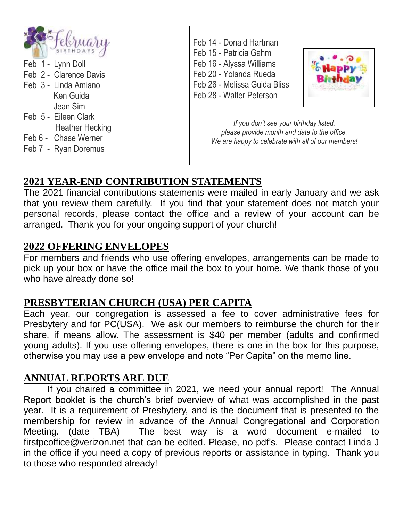| <b>BIRTHDAYS</b><br>Feb 1 - Lynn Doll<br>Feb 2 - Clarence Davis<br>Feb 3 - Linda Amiano<br>Ken Guida       | Feb 14 - Donald Hartman<br>Feb 15 - Patricia Gahm<br>Feb 16 - Alyssa Williams<br>Feb 20 - Yolanda Rueda<br>Feb 26 - Melissa Guida Bliss<br>Feb 28 - Walter Peterson |  |
|------------------------------------------------------------------------------------------------------------|---------------------------------------------------------------------------------------------------------------------------------------------------------------------|--|
| Jean Sim<br>Feb 5 - Eileen Clark<br><b>Heather Hecking</b><br>Feb 6 - Chase Werner<br>Feb 7 - Ryan Doremus | If you don't see your birthday listed,<br>please provide month and date to the office.<br>We are happy to celebrate with all of our members!                        |  |

#### **2021 YEAR-END CONTRIBUTION STATEMENTS**

The 2021 financial contributions statements were mailed in early January and we ask that you review them carefully. If you find that your statement does not match your personal records, please contact the office and a review of your account can be arranged. Thank you for your ongoing support of your church!

#### **2022 OFFERING ENVELOPES**

For members and friends who use offering envelopes, arrangements can be made to pick up your box or have the office mail the box to your home. We thank those of you who have already done so!

#### **PRESBYTERIAN CHURCH (USA) PER CAPITA**

Each year, our congregation is assessed a fee to cover administrative fees for Presbytery and for PC(USA). We ask our members to reimburse the church for their share, if means allow. The assessment is \$40 per member (adults and confirmed young adults). If you use offering envelopes, there is one in the box for this purpose, otherwise you may use a pew envelope and note "Per Capita" on the memo line.

#### **ANNUAL REPORTS ARE DUE**

If you chaired a committee in 2021, we need your annual report! The Annual Report booklet is the church's brief overview of what was accomplished in the past year. It is a requirement of Presbytery, and is the document that is presented to the membership for review in advance of the Annual Congregational and Corporation Meeting. (date TBA) The best way is a word document e-mailed to firstpcoffice@verizon.net that can be edited. Please, no pdf's. Please contact Linda J in the office if you need a copy of previous reports or assistance in typing. Thank you to those who responded already!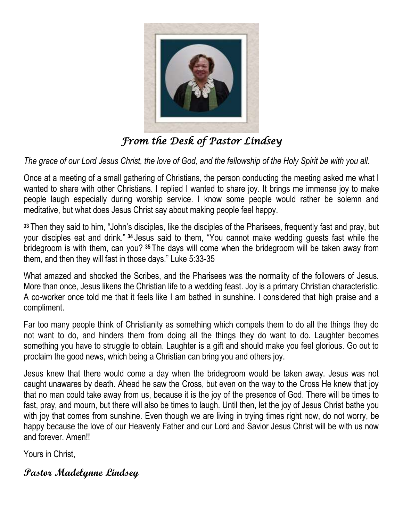

*From the Desk of Pastor Lindsey* 

*The grace of our Lord Jesus Christ, the love of God, and the fellowship of the Holy Spirit be with you all.*

Once at a meeting of a small gathering of Christians, the person conducting the meeting asked me what I wanted to share with other Christians. I replied I wanted to share joy. It brings me immense joy to make people laugh especially during worship service. I know some people would rather be solemn and meditative, but what does Jesus Christ say about making people feel happy.

**<sup>33</sup>** Then they said to him, "John's disciples, like the disciples of the Pharisees, frequently fast and pray, but your disciples eat and drink." **<sup>34</sup>** Jesus said to them, "You cannot make wedding guests fast while the bridegroom is with them, can you? **<sup>35</sup>** The days will come when the bridegroom will be taken away from them, and then they will fast in those days." Luke 5:33-35

What amazed and shocked the Scribes, and the Pharisees was the normality of the followers of Jesus. More than once, Jesus likens the Christian life to a wedding feast. Joy is a primary Christian characteristic. A co-worker once told me that it feels like I am bathed in sunshine. I considered that high praise and a compliment.

Far too many people think of Christianity as something which compels them to do all the things they do not want to do, and hinders them from doing all the things they do want to do. Laughter becomes something you have to struggle to obtain. Laughter is a gift and should make you feel glorious. Go out to proclaim the good news, which being a Christian can bring you and others joy.

Jesus knew that there would come a day when the bridegroom would be taken away. Jesus was not caught unawares by death. Ahead he saw the Cross, but even on the way to the Cross He knew that joy that no man could take away from us, because it is the joy of the presence of God. There will be times to fast, pray, and mourn, but there will also be times to laugh. Until then, let the joy of Jesus Christ bathe you with joy that comes from sunshine. Even though we are living in trying times right now, do not worry, be happy because the love of our Heavenly Father and our Lord and Savior Jesus Christ will be with us now and forever. Amen!!

Yours in Christ,

#### **Pastor Madelynne Lindsey**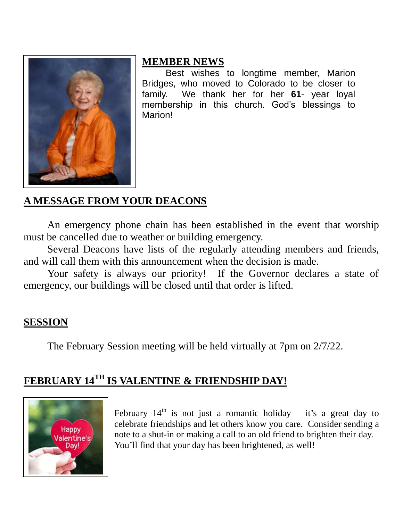

#### **MEMBER NEWS**

Best wishes to longtime member, Marion Bridges, who moved to Colorado to be closer to family. We thank her for her **61**- year loyal membership in this church. God's blessings to Marion!

## **A MESSAGE FROM YOUR DEACONS**

An emergency phone chain has been established in the event that worship must be cancelled due to weather or building emergency.

Several Deacons have lists of the regularly attending members and friends, and will call them with this announcement when the decision is made.

Your safety is always our priority! If the Governor declares a state of emergency, our buildings will be closed until that order is lifted.

#### **SESSION**

The February Session meeting will be held virtually at 7pm on 2/7/22.

# **FEBRUARY 14TH IS VALENTINE & FRIENDSHIP DAY!**



February  $14<sup>th</sup>$  is not just a romantic holiday – it's a great day to celebrate friendships and let others know you care. Consider sending a note to a shut-in or making a call to an old friend to brighten their day. You'll find that your day has been brightened, as well!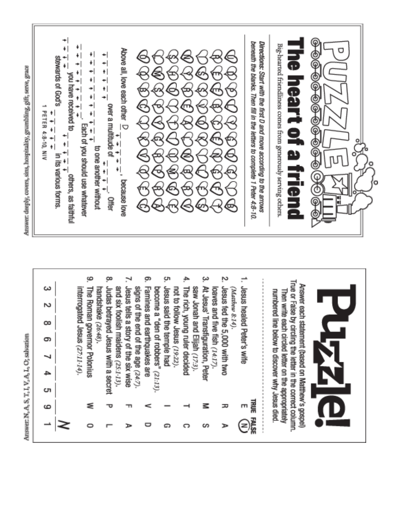

True or False by circling the letter in the correct column. Answer each statement (based on Matthew's gospel) Jesus healed Peter's wife Judas betrayed Jesus with a secret Jesus tells a story of the six wise Jesus fed the 5,000 with two and six foolish maidens (25:1-13). signs of the end of the age (24:7) Famines and earthquakes are Jesus said the temple had The rich, young ruler decided saw Jonah and Elijah (17:3). At Jesus' Transfiguration, Peter interrogated Jesus (27:11-14) The Roman governor Polonius become a "den of robbers" (21:13) not to follow Jesus (19.22). loaves and five fish (14:17). handshake (26:48). (Matthew 8:14). numbered line below to discover why Jesus died. Then write each circled letter on the appropriately ъ  $\infty$ 9 ≏ c **TRUE FALSE** ౾ 6 ᠴ ξ o c o s ъ

Answer N, A, S, T, I, V, A, L, O; salvation